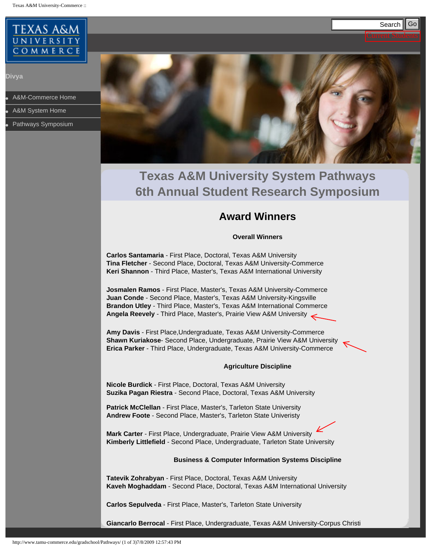<span id="page-0-0"></span>Texas A&M University-Commerce ::



**Divya**

[A&M-Commerce Home](http://www.tamu-commerce.edu/home)

**[A&M System Home](http://www.tamus.edu/)** 

[Pathways Symposium](#page-0-0)



# **Texas A&M University System Pathways 6th Annual Student Research Symposium**

# **Award Winners**

## **Overall Winners**

**Carlos Santamaria** - First Place, Doctoral, Texas A&M University **Tina Fletcher** - Second Place, Doctoral, Texas A&M University-Commerce **Keri Shannon** - Third Place, Master's, Texas A&M International University

**Josmalen Ramos** - First Place, Master's, Texas A&M University-Commerce **Juan Conde** - Second Place, Master's, Texas A&M University-Kingsville **Brandon Utley** - Third Place, Master's, Texas A&M International Commerce **Angela Reevely** - Third Place, Master's, Prairie View A&M University

**Amy Davis** - First Place,Undergraduate, Texas A&M University-Commerce **Shawn Kuriakose**- Second Place, Undergraduate, Prairie View A&M University **Erica Parker** - Third Place, Undergraduate, Texas A&M University-Commerce

## **Agriculture Discipline**

**Nicole Burdick** - First Place, Doctoral, Texas A&M University **Suzika Pagan Riestra** - Second Place, Doctoral, Texas A&M University

**Patrick McClellan** - First Place, Master's, Tarleton State University **Andrew Foote** - Second Place, Master's, Tarleton State Univeristy

**Mark Carter** - First Place, Undergraduate, Prairie View A&M University **Kimberly Littlefield** - Second Place, Undergraduate, Tarleton State University

## **Business & Computer Information Systems Discipline**

**Tatevik Zohrabyan** - First Place, Doctoral, Texas A&M University **Kaveh Moghaddam** - Second Place, Doctoral, Texas A&M International University

**Carlos Sepulveda** - First Place, Master's, Tarleton State University

**Giancarlo Berrocal** - First Place, Undergraduate, Texas A&M University-Corpus Christi

Current Students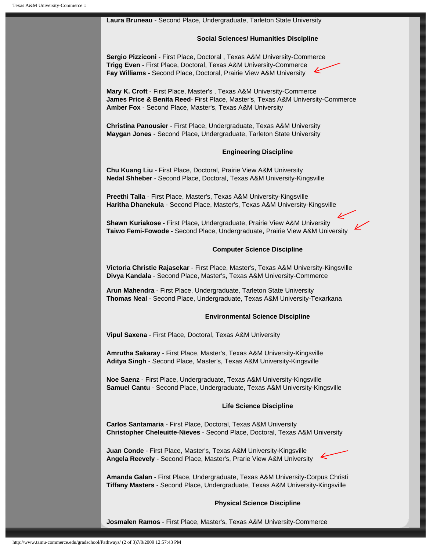# **Laura Bruneau** - Second Place, Undergraduate, Tarleton State University **Social Sciences/ Humanities Discipline Sergio Pizziconi** - First Place, Doctoral , Texas A&M University-Commerce **Trigg Even** - First Place, Doctoral, Texas A&M University-Commerce **Fay Williams** - Second Place, Doctoral, Prairie View A&M University **Mary K. Croft** - First Place, Master's , Texas A&M University-Commerce **James Price & Benita Reed**- First Place, Master's, Texas A&M University-Commerce **Amber Fox** - Second Place, Master's, Texas A&M University **Christina Panousier** - First Place, Undergraduate, Texas A&M University **Maygan Jones** - Second Place, Undergraduate, Tarleton State University **Engineering Discipline Chu Kuang Liu** - First Place, Doctoral, Prairie View A&M University **Nedal Shheber** - Second Place, Doctoral, Texas A&M University-Kingsville **Preethi Talla** - First Place, Master's, Texas A&M University-Kingsville **Haritha Dhanekula** - Second Place, Master's, Texas A&M University-Kingsville **Shawn Kuriakose** - First Place, Undergraduate, Prairie View A&M University **Taiwo Femi-Fowode** - Second Place, Undergraduate, Prairie View A&M University **Computer Science Discipline Victoria Christie Rajasekar** - First Place, Master's, Texas A&M University-Kingsville **Divya Kandala** - Second Place, Master's, Texas A&M University-Commerce **Arun Mahendra** - First Place, Undergraduate, Tarleton State University **Thomas Neal** - Second Place, Undergraduate, Texas A&M University-Texarkana **Environmental Science Discipline Vipul Saxena** - First Place, Doctoral, Texas A&M University **Amrutha Sakaray** - First Place, Master's, Texas A&M University-Kingsville **Aditya Singh** - Second Place, Master's, Texas A&M University-Kingsville **Noe Saenz** - First Place, Undergraduate, Texas A&M University-Kingsville **Samuel Cantu** - Second Place, Undergraduate, Texas A&M University-Kingsville **Life Science Discipline Carlos Santamaria** - First Place, Doctoral, Texas A&M University **Christopher Cheleuitte**-**Nieves** - Second Place, Doctoral, Texas A&M University **Juan Conde** - First Place, Master's, Texas A&M University-Kingsville **Angela Reevely** - Second Place, Master's, Prarie View A&M University **Amanda Galan** - First Place, Undergraduate, Texas A&M University-Corpus Christi **Tiffany Masters** - Second Place, Undergraduate, Texas A&M University-Kingsville

#### **Physical Science Discipline**

**Josmalen Ramos** - First Place, Master's, Texas A&M University-Commerce